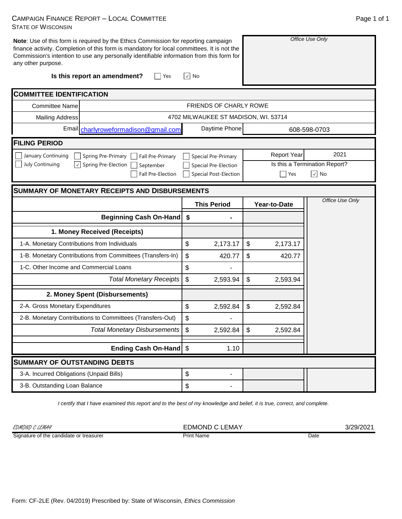## CAMPAIGN FINANCE REPORT – LOCAL COMMITTEE STATE OF WISCONSIN

Committee Name Mailing Address

**FILING PERIOD**

January Continuing

**COMMITTEE IDENTIFICATION**

**Note**: Use of this form is required by the Ethics Commission for reporting campaign finance activity. Completion of this form is mandatory for local committees. It is not the Commission's intention to use any personally identifiable information from this form for any other purpose.

Spring Pre-Primary | | Fall Pre-Primary

**Is this report an amendment?**

| Ves | $\vert \vee \vert$ No |
|-----|-----------------------|
|     |                       |

FRIENDS OF CHARLY ROWE

4702 MILWAUKEE ST MADISON, WI. 53714

Special Pre-Primary

Email [charlyroweformadison@gmail.com](mailto:charlyroweformadison@gmail.com) Daytime Phone

|                                                            | <b>This Period</b> |                | Year-to-Date | Office Use Only |
|------------------------------------------------------------|--------------------|----------------|--------------|-----------------|
| Beginning Cash On-Hand   \$                                |                    |                |              |                 |
| 1. Money Received (Receipts)                               |                    |                |              |                 |
| 1-A. Monetary Contributions from Individuals               | \$<br>2,173.17     | $\mathbb{S}$   | 2,173.17     |                 |
| 1-B. Monetary Contributions from Committees (Transfers-In) | \$<br>420.77       | $\mathfrak{S}$ | 420.77       |                 |
| 1-C. Other Income and Commercial Loans                     | \$                 |                |              |                 |
| <b>Total Monetary Receipts</b>                             | \$<br>2,593.94     | \$             | 2,593.94     |                 |
| 2. Money Spent (Disbursements)                             |                    |                |              |                 |
| 2-A. Gross Monetary Expenditures                           | \$<br>2,592.84     | $\mathsf{\$}$  | 2,592.84     |                 |
| 2-B. Monetary Contributions to Committees (Transfers-Out)  | \$                 |                |              |                 |
| <b>Total Monetary Disbursements</b>                        | \$<br>2,592.84     | \$             | 2,592.84     |                 |
| Ending Cash On-Hand   \$                                   | 1.10               |                |              |                 |
| <b>SUMMARY OF OUTSTANDING DEBTS</b>                        |                    |                |              |                 |
| 3-A. Incurred Obligations (Unpaid Bills)                   | \$<br>۰            |                |              |                 |
| 3-B. Outstanding Loan Balance                              | \$                 |                |              |                 |

*I certify that I have examined this report and to the best of my knowledge and belief, it is true, correct, and complete.*

EDMOND C LEMAY EDMOND C LEMAY 3/29/2021

Signature of the candidate or treasurer

Print Name Date

Report Year

608-598-0703

2021

*Office Use Only*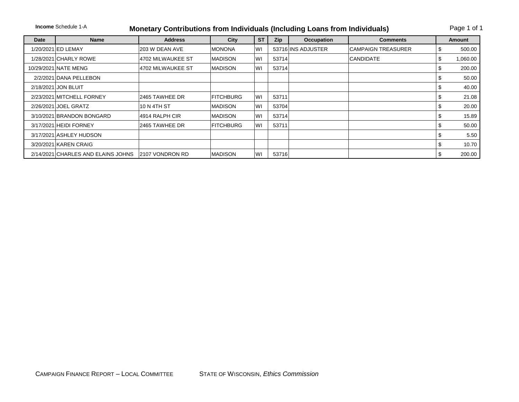## **Income** Schedule 1-A **Monetary Contributions from Individuals (Including Loans from Individuals)** Page 1 of 1

| <b>Date</b> | <b>Name</b>                        | <b>Address</b>         | City             | <b>ST</b> | Zip   | <b>Occupation</b>  | <b>Comments</b>           |    | <b>Amount</b> |
|-------------|------------------------------------|------------------------|------------------|-----------|-------|--------------------|---------------------------|----|---------------|
|             | 1/20/2021 ED LEMAY                 | 203 W DEAN AVE         | <b>MONONA</b>    | WI        |       | 53716 INS ADJUSTER | <b>CAMPAIGN TREASURER</b> | J. | 500.00        |
|             | 1/28/2021 CHARLY ROWE              | 4702 MILWAUKEE ST      | <b>IMADISON</b>  | WI        | 53714 |                    | <b>CANDIDATE</b>          | æ  | 1,060.00      |
|             | 10/29/2021 NATE MENG               | 4702 MILWAUKEE ST      | <b>IMADISON</b>  | WI        | 53714 |                    |                           | æ  | 200.00        |
|             | 2/2/2021 DANA PELLEBON             |                        |                  |           |       |                    |                           |    | 50.00         |
|             | 2/18/2021 JON BLUIT                |                        |                  |           |       |                    |                           |    | 40.00         |
|             | 2/23/2021 MITCHELL FORNEY          | 2465 TAWHEE DR         | <b>FITCHBURG</b> | <b>WI</b> | 53711 |                    |                           |    | 21.08         |
|             | 2/26/2021 JOEL GRATZ               | 10 N 4TH ST            | <b>IMADISON</b>  | WI        | 53704 |                    |                           |    | 20.00         |
|             | 3/10/2021 BRANDON BONGARD          | 4914 RALPH CIR         | <b>MADISON</b>   | <b>WI</b> | 53714 |                    |                           |    | 15.89         |
|             | 3/17/2021 HEIDI FORNEY             | 2465 TAWHEE DR         | <b>FITCHBURG</b> | WI        | 53711 |                    |                           |    | 50.00         |
|             | 3/17/2021 ASHLEY HUDSON            |                        |                  |           |       |                    |                           |    | 5.50          |
|             | 3/20/2021 KAREN CRAIG              |                        |                  |           |       |                    |                           |    | 10.70         |
|             | 2/14/2021 CHARLES AND ELAINS JOHNS | <b>2107 VONDRON RD</b> | <b>IMADISON</b>  | <b>WI</b> | 53716 |                    |                           |    | 200.00        |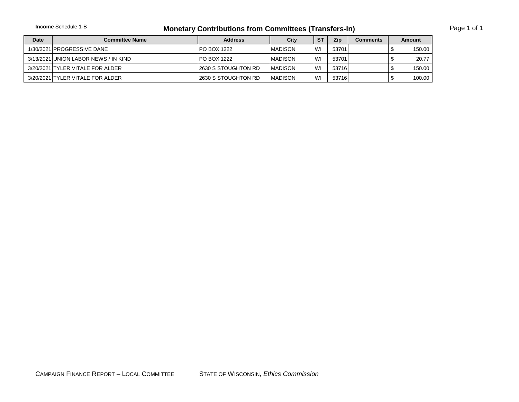**Income** Schedule 1-B **Monetary Contributions from Committees (Transfers-In)** Page 1 of 1 **Date Committee Name Address City ST Zip Comments Amount** 1/30/2021 PROGRESSIVE DANE PO NOTE PO BOX 1222 MADISON WI 53701 WI 53701  $3/13/2021$  UNION LABOR NEWS / IN KIND  $\vert$  PO BOX 1222 MADISON WI 53701  $\vert$  53701  $\vert$  \$ 20.77  $3/20/2021$  TYLER VITALE FOR ALDER  $2630$  S STOUGHTON RD MADISON  $\vert$  WI  $\vert$  53716  $\vert$  \$ 150.00  $3/20/2021$  TYLER VITALE FOR ALDER  $2630$  S STOUGHTON RD MADISON WI 53716  $\vert$  53716  $\vert$  \$ 100.00